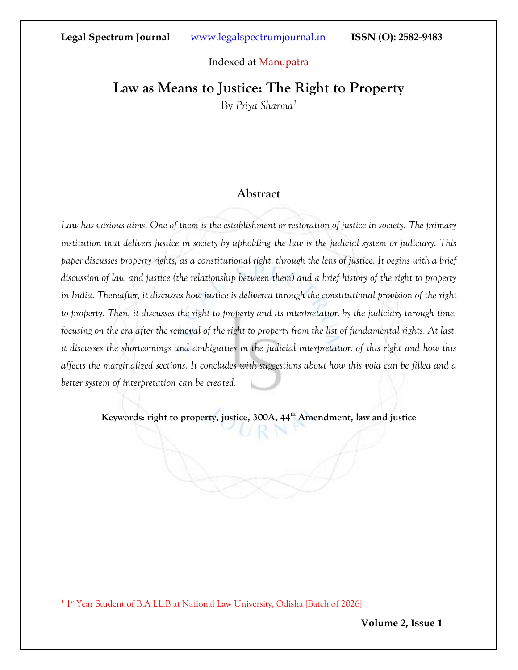#### Indexed at Manupatra

# **Law as Means to Justice: The Right to Property**

By *Priya Sharma<sup>1</sup>*

### **Abstract**

*Law has various aims. One of them is the establishment or restoration of justice in society. The primary institution that delivers justice in society by upholding the law is the judicial system or judiciary. This paper discusses property rights, as a constitutional right, through the lens of justice. It begins with a brief discussion of law and justice (the relationship between them) and a brief history of the right to property in India. Thereafter, it discusses how justice is delivered through the constitutional provision of the right to property. Then, it discusses the right to property and its interpretation by the judiciary through time, focusing on the era after the removal of the right to property from the list of fundamental rights. At last, it discusses the shortcomings and ambiguities in the judicial interpretation of this right and how this affects the marginalized sections. It concludes with suggestions about how this void can be filled and a better system of interpretation can be created.*

**Keywords: right to property, justice, 300A, 44th Amendment, law and justice**

<sup>&</sup>lt;sup>1</sup> 1<sup>st</sup> Year Student of B.A LL.B at National Law University, Odisha [Batch of 2026].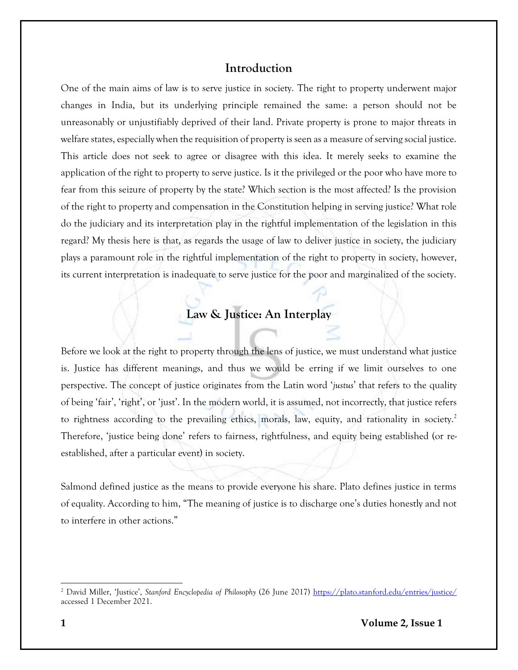### **Introduction**

One of the main aims of law is to serve justice in society. The right to property underwent major changes in India, but its underlying principle remained the same: a person should not be unreasonably or unjustifiably deprived of their land. Private property is prone to major threats in welfare states, especially when the requisition of property is seen as a measure of serving social justice. This article does not seek to agree or disagree with this idea. It merely seeks to examine the application of the right to property to serve justice. Is it the privileged or the poor who have more to fear from this seizure of property by the state? Which section is the most affected? Is the provision of the right to property and compensation in the Constitution helping in serving justice? What role do the judiciary and its interpretation play in the rightful implementation of the legislation in this regard? My thesis here is that, as regards the usage of law to deliver justice in society, the judiciary plays a paramount role in the rightful implementation of the right to property in society, however, its current interpretation is inadequate to serve justice for the poor and marginalized of the society.

# **Law & Justice: An Interplay**

Before we look at the right to property through the lens of justice, we must understand what justice is. Justice has different meanings, and thus we would be erring if we limit ourselves to one perspective. The concept of justice originates from the Latin word '*justus*' that refers to the quality of being 'fair', 'right', or 'just'. In the modern world, it is assumed, not incorrectly, that justice refers to rightness according to the prevailing ethics, morals, law, equity, and rationality in society.<sup>2</sup> Therefore, 'justice being done' refers to fairness, rightfulness, and equity being established (or reestablished, after a particular event) in society.

Salmond defined justice as the means to provide everyone his share. Plato defines justice in terms of equality. According to him, "The meaning of justice is to discharge one's duties honestly and not to interfere in other actions."

<sup>2</sup> David Miller, 'Justice', *Stanford Encyclopedia of Philosophy* (26 June 2017)<https://plato.stanford.edu/entries/justice/> accessed 1 December 2021.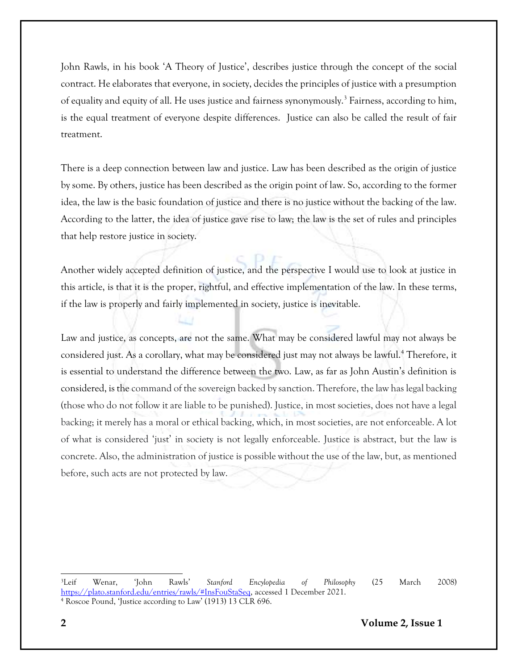John Rawls, in his book 'A Theory of Justice', describes justice through the concept of the social contract. He elaborates that everyone, in society, decides the principles of justice with a presumption of equality and equity of all. He uses justice and fairness synonymously.<sup>3</sup> Fairness, according to him, is the equal treatment of everyone despite differences. Justice can also be called the result of fair treatment.

There is a deep connection between law and justice. Law has been described as the origin of justice by some. By others, justice has been described as the origin point of law. So, according to the former idea, the law is the basic foundation of justice and there is no justice without the backing of the law. According to the latter, the idea of justice gave rise to law; the law is the set of rules and principles that help restore justice in society.

Another widely accepted definition of justice, and the perspective I would use to look at justice in this article, is that it is the proper, rightful, and effective implementation of the law. In these terms, if the law is properly and fairly implemented in society, justice is inevitable.

Law and justice, as concepts, are not the same. What may be considered lawful may not always be considered just. As a corollary, what may be considered just may not always be lawful.<sup>4</sup> Therefore, it is essential to understand the difference between the two. Law, as far as John Austin's definition is considered, is the command of the sovereign backed by sanction. Therefore, the law has legal backing (those who do not follow it are liable to be punished). Justice, in most societies, does not have a legal backing; it merely has a moral or ethical backing, which, in most societies, are not enforceable. A lot of what is considered 'just' in society is not legally enforceable. Justice is abstract, but the law is concrete. Also, the administration of justice is possible without the use of the law, but, as mentioned before, such acts are not protected by law.

<sup>3</sup>Leif Wenar, 'John Rawls' *Stanford Encylopedia of Philosophy* (25 March 2008) [https://plato.stanford.edu/entries/rawls/#InsFouStaSeq,](https://plato.stanford.edu/entries/rawls/#InsFouStaSeq) accessed 1 December 2021. <sup>4</sup> Roscoe Pound, 'Justice according to Law' (1913) 13 CLR 696.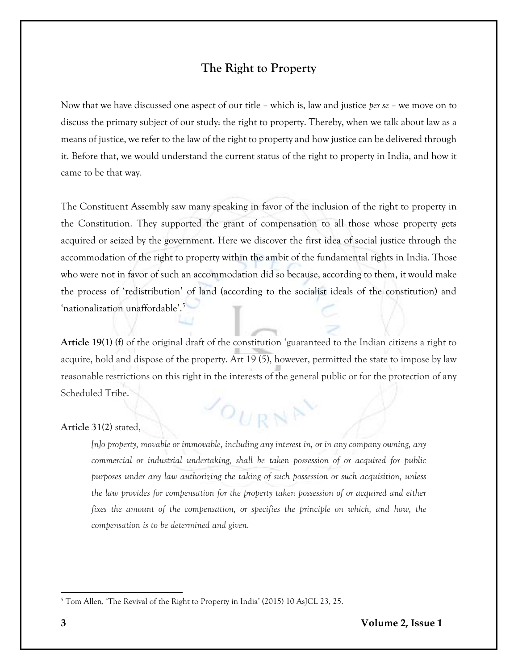## **The Right to Property**

Now that we have discussed one aspect of our title – which is, law and justice *per se* – we move on to discuss the primary subject of our study: the right to property. Thereby, when we talk about law as a means of justice, we refer to the law of the right to property and how justice can be delivered through it. Before that, we would understand the current status of the right to property in India, and how it came to be that way.

The Constituent Assembly saw many speaking in favor of the inclusion of the right to property in the Constitution. They supported the grant of compensation to all those whose property gets acquired or seized by the government. Here we discover the first idea of social justice through the accommodation of the right to property within the ambit of the fundamental rights in India. Those who were not in favor of such an accommodation did so because, according to them, it would make the process of 'redistribution' of land (according to the socialist ideals of the constitution) and 'nationalization unaffordable'. 5

**Article 19(1) (f)** of the original draft of the constitution 'guaranteed to the Indian citizens a right to acquire, hold and dispose of the property. Art 19 (5), however, permitted the state to impose by law reasonable restrictions on this right in the interests of the general public or for the protection of any Scheduled Tribe.

 $O_{URN}$ 

#### **Article 31(2)** stated,

*[n]o property, movable or immovable, including any interest in, or in any company owning, any commercial or industrial undertaking, shall be taken possession of or acquired for public purposes under any law authorizing the taking of such possession or such acquisition, unless the law provides for compensation for the property taken possession of or acquired and either fixes the amount of the compensation, or specifies the principle on which, and how, the compensation is to be determined and given.*

<sup>5</sup> Tom Allen, 'The Revival of the Right to Property in India' (2015) 10 AsJCL 23, 25.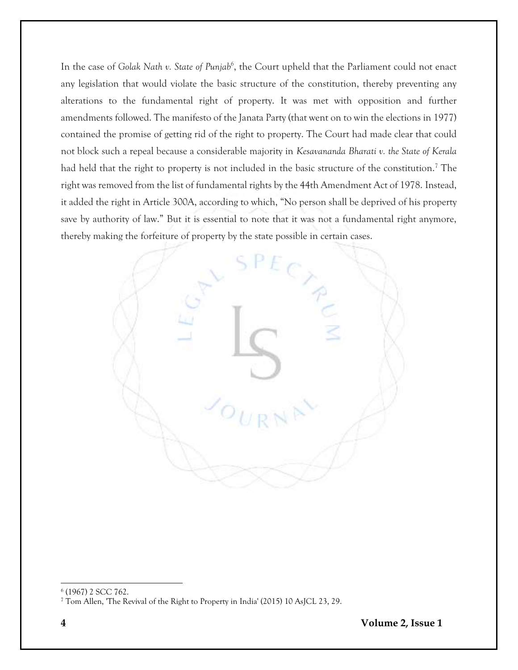In the case of *Golak Nath v. State of Punjab<sup>6</sup>*, the Court upheld that the Parliament could not enact any legislation that would violate the basic structure of the constitution, thereby preventing any alterations to the fundamental right of property. It was met with opposition and further amendments followed. The manifesto of the Janata Party (that went on to win the elections in 1977) contained the promise of getting rid of the right to property. The Court had made clear that could not block such a repeal because a considerable majority in *Kesavananda Bharati v. the State of Kerala* had held that the right to property is not included in the basic structure of the constitution.<sup>7</sup> The right was removed from the list of fundamental rights by the 44th Amendment Act of 1978. Instead, it added the right in Article 300A, according to which, "No person shall be deprived of his property save by authority of law." But it is essential to note that it was not a fundamental right anymore, thereby making the forfeiture of property by the state possible in certain cases.



<sup>6</sup> (1967) 2 SCC 762.

<sup>7</sup> Tom Allen, 'The Revival of the Right to Property in India' (2015) 10 AsJCL 23, 29.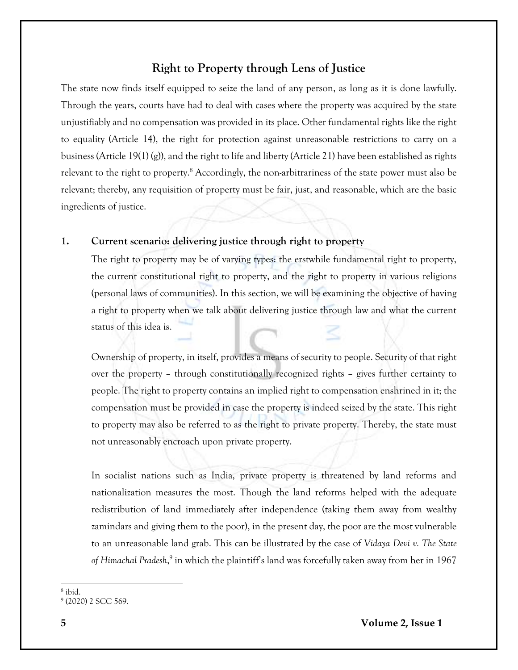## **Right to Property through Lens of Justice**

The state now finds itself equipped to seize the land of any person, as long as it is done lawfully. Through the years, courts have had to deal with cases where the property was acquired by the state unjustifiably and no compensation was provided in its place. Other fundamental rights like the right to equality (Article 14), the right for protection against unreasonable restrictions to carry on a business (Article 19(1) (g)), and the right to life and liberty (Article 21) have been established as rights relevant to the right to property.<sup>8</sup> Accordingly, the non-arbitrariness of the state power must also be relevant; thereby, any requisition of property must be fair, just, and reasonable, which are the basic ingredients of justice.

### **1. Current scenario: delivering justice through right to property**

The right to property may be of varying types: the erstwhile fundamental right to property, the current constitutional right to property, and the right to property in various religions (personal laws of communities). In this section, we will be examining the objective of having a right to property when we talk about delivering justice through law and what the current status of this idea is.

Ownership of property, in itself, provides a means of security to people. Security of that right over the property – through constitutionally recognized rights – gives further certainty to people. The right to property contains an implied right to compensation enshrined in it; the compensation must be provided in case the property is indeed seized by the state. This right to property may also be referred to as the right to private property. Thereby, the state must not unreasonably encroach upon private property.

In socialist nations such as India, private property is threatened by land reforms and nationalization measures the most. Though the land reforms helped with the adequate redistribution of land immediately after independence (taking them away from wealthy zamindars and giving them to the poor), in the present day, the poor are the most vulnerable to an unreasonable land grab. This can be illustrated by the case of *Vidaya Devi v. The State*  of Himachal Pradesh,<sup>9</sup> in which the plaintiff's land was forcefully taken away from her in 1967

<sup>8</sup> ibid.

<sup>9</sup> (2020) 2 SCC 569.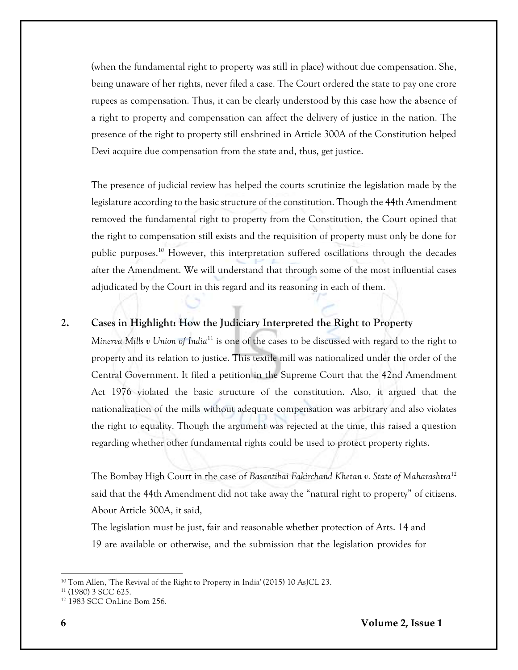(when the fundamental right to property was still in place) without due compensation. She, being unaware of her rights, never filed a case. The Court ordered the state to pay one crore rupees as compensation. Thus, it can be clearly understood by this case how the absence of a right to property and compensation can affect the delivery of justice in the nation. The presence of the right to property still enshrined in Article 300A of the Constitution helped Devi acquire due compensation from the state and, thus, get justice.

The presence of judicial review has helped the courts scrutinize the legislation made by the legislature according to the basic structure of the constitution. Though the 44th Amendment removed the fundamental right to property from the Constitution, the Court opined that the right to compensation still exists and the requisition of property must only be done for public purposes.<sup>10</sup> However, this interpretation suffered oscillations through the decades after the Amendment. We will understand that through some of the most influential cases adjudicated by the Court in this regard and its reasoning in each of them.

### **2. Cases in Highlight: How the Judiciary Interpreted the Right to Property**

*Minerva Mills v Union of India*<sup>11</sup> is one of the cases to be discussed with regard to the right to property and its relation to justice. This textile mill was nationalized under the order of the Central Government. It filed a petition in the Supreme Court that the 42nd Amendment Act 1976 violated the basic structure of the constitution. Also, it argued that the nationalization of the mills without adequate compensation was arbitrary and also violates the right to equality. Though the argument was rejected at the time, this raised a question regarding whether other fundamental rights could be used to protect property rights.

The Bombay High Court in the case of *Basantibai Fakirchand Khetan v. State of Maharashtra*<sup>12</sup> said that the 44th Amendment did not take away the "natural right to property" of citizens. About Article 300A, it said,

The legislation must be just, fair and reasonable whether protection of Arts. 14 and 19 are available or otherwise, and the submission that the legislation provides for

<sup>&</sup>lt;sup>10</sup> Tom Allen, 'The Revival of the Right to Property in India' (2015) 10 AsJCL 23.

<sup>11</sup> (1980) 3 SCC 625.

<sup>12</sup> 1983 SCC OnLine Bom 256.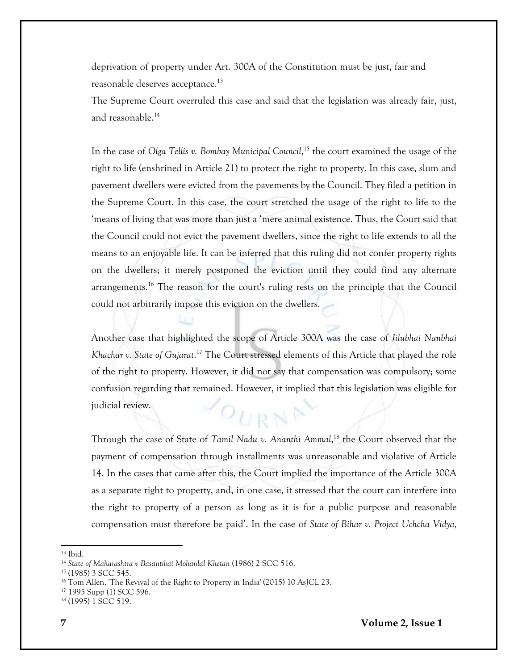deprivation of property under Art. 300A of the Constitution must be just, fair and reasonable deserves acceptance.<sup>13</sup>

The Supreme Court overruled this case and said that the legislation was already fair, just, and reasonable.<sup>14</sup>

In the case of *Olga Tellis v. Bombay Municipal Council*, <sup>15</sup> the court examined the usage of the right to life (enshrined in Article 21) to protect the right to property. In this case, slum and pavement dwellers were evicted from the pavements by the Council. They filed a petition in the Supreme Court. In this case, the court stretched the usage of the right to life to the 'means of living that was more than just a 'mere animal existence. Thus, the Court said that the Council could not evict the pavement dwellers, since the right to life extends to all the means to an enjoyable life. It can be inferred that this ruling did not confer property rights on the dwellers; it merely postponed the eviction until they could find any alternate arrangements.<sup>16</sup> The reason for the court's ruling rests on the principle that the Council could not arbitrarily impose this eviction on the dwellers.

Another case that highlighted the scope of Article 300A was the case of *Jilubhai Nanbhai Khachar v. State of Gujarat*. <sup>17</sup> The Court stressed elements of this Article that played the role of the right to property. However, it did not say that compensation was compulsory; some confusion regarding that remained. However, it implied that this legislation was eligible for judicial review.  $O_{URN}$ 

Through the case of State of *Tamil Nadu v. Ananthi Ammal*, <sup>18</sup> the Court observed that the payment of compensation through installments was unreasonable and violative of Article 14. In the cases that came after this, the Court implied the importance of the Article 300A as a separate right to property, and, in one case, it stressed that the court can interfere into the right to property of a person as long as it is for a public purpose and reasonable compensation must therefore be paid'. In the case of *State of Bihar v. Project Uchcha Vidya,* 

<sup>13</sup> Ibid.

<sup>14</sup> *State of Maharashtra v Basantibai Mohanlal Khetan* (1986) 2 SCC 516.

<sup>15</sup> (1985) 3 SCC 545.

<sup>&</sup>lt;sup>16</sup> Tom Allen, 'The Revival of the Right to Property in India' (2015) 10 AsJCL 23.

<sup>17</sup> 1995 Supp (1) SCC 596.

<sup>18</sup> (1995) 1 SCC 519.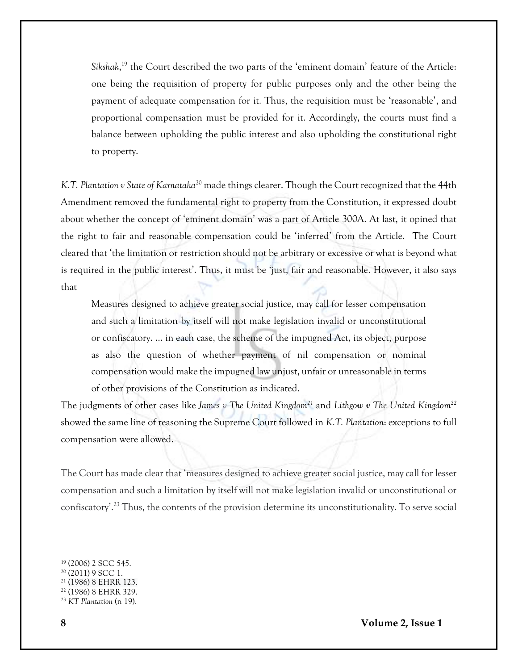*Sikshak*, <sup>19</sup> the Court described the two parts of the 'eminent domain' feature of the Article: one being the requisition of property for public purposes only and the other being the payment of adequate compensation for it. Thus, the requisition must be 'reasonable', and proportional compensation must be provided for it. Accordingly, the courts must find a balance between upholding the public interest and also upholding the constitutional right to property.

*K.T. Plantation v State of Karnataka*<sup>20</sup> made things clearer. Though the Court recognized that the 44th Amendment removed the fundamental right to property from the Constitution, it expressed doubt about whether the concept of 'eminent domain' was a part of Article 300A. At last, it opined that the right to fair and reasonable compensation could be 'inferred' from the Article. The Court cleared that 'the limitation or restriction should not be arbitrary or excessive or what is beyond what is required in the public interest'. Thus, it must be 'just, fair and reasonable. However, it also says that

Measures designed to achieve greater social justice, may call for lesser compensation and such a limitation by itself will not make legislation invalid or unconstitutional or confiscatory. ... in each case, the scheme of the impugned Act, its object, purpose as also the question of whether payment of nil compensation or nominal compensation would make the impugned law unjust, unfair or unreasonable in terms of other provisions of the Constitution as indicated.

The judgments of other cases like *James v The United Kingdom<sup>21</sup>* and *Lithgow v The United Kingdom<sup>22</sup>* showed the same line of reasoning the Supreme Court followed in *K.T. Plantation*: exceptions to full compensation were allowed.

The Court has made clear that 'measures designed to achieve greater social justice, may call for lesser compensation and such a limitation by itself will not make legislation invalid or unconstitutional or confiscatory'.<sup>23</sup> Thus, the contents of the provision determine its unconstitutionality. To serve social

<sup>19</sup> (2006) 2 SCC 545.

<sup>20</sup> (2011) 9 SCC 1.

<sup>21</sup> (1986) 8 EHRR 123.

<sup>22</sup> (1986) 8 EHRR 329.

<sup>23</sup> *KT Plantation* (n 19).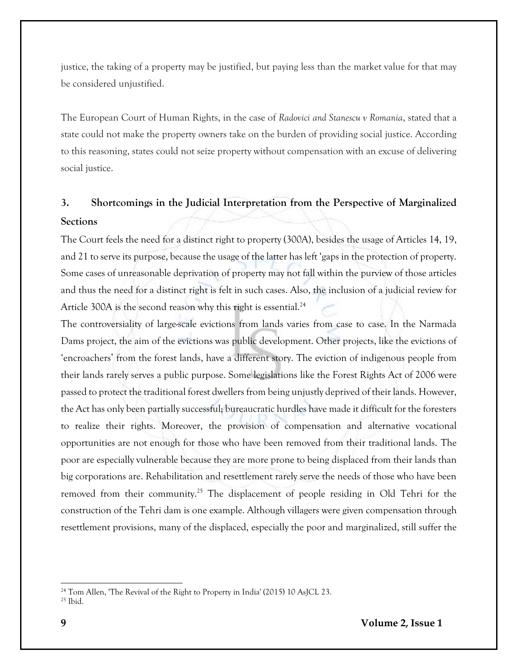justice, the taking of a property may be justified, but paying less than the market value for that may be considered unjustified.

The European Court of Human Rights, in the case of *Radovici and Stanescu v Romania*, stated that a state could not make the property owners take on the burden of providing social justice. According to this reasoning, states could not seize property without compensation with an excuse of delivering social justice.

# **3. Shortcomings in the Judicial Interpretation from the Perspective of Marginalized Sections**

The Court feels the need for a distinct right to property (300A), besides the usage of Articles 14, 19, and 21 to serve its purpose, because the usage of the latter has left 'gaps in the protection of property. Some cases of unreasonable deprivation of property may not fall within the purview of those articles and thus the need for a distinct right is felt in such cases. Also, the inclusion of a judicial review for Article 300A is the second reason why this right is essential.<sup>24</sup>

The controversiality of large-scale evictions from lands varies from case to case. In the Narmada Dams project, the aim of the evictions was public development. Other projects, like the evictions of 'encroachers' from the forest lands, have a different story. The eviction of indigenous people from their lands rarely serves a public purpose. Some legislations like the Forest Rights Act of 2006 were passed to protect the traditional forest dwellers from being unjustly deprived of their lands. However, the Act has only been partially successful; bureaucratic hurdles have made it difficult for the foresters to realize their rights. Moreover, the provision of compensation and alternative vocational opportunities are not enough for those who have been removed from their traditional lands. The poor are especially vulnerable because they are more prone to being displaced from their lands than big corporations are. Rehabilitation and resettlement rarely serve the needs of those who have been removed from their community.<sup>25</sup> The displacement of people residing in Old Tehri for the construction of the Tehri dam is one example. Although villagers were given compensation through resettlement provisions, many of the displaced, especially the poor and marginalized, still suffer the

<sup>&</sup>lt;sup>24</sup> Tom Allen, 'The Revival of the Right to Property in India' (2015) 10 AsJCL 23. <sup>25</sup> Ibid.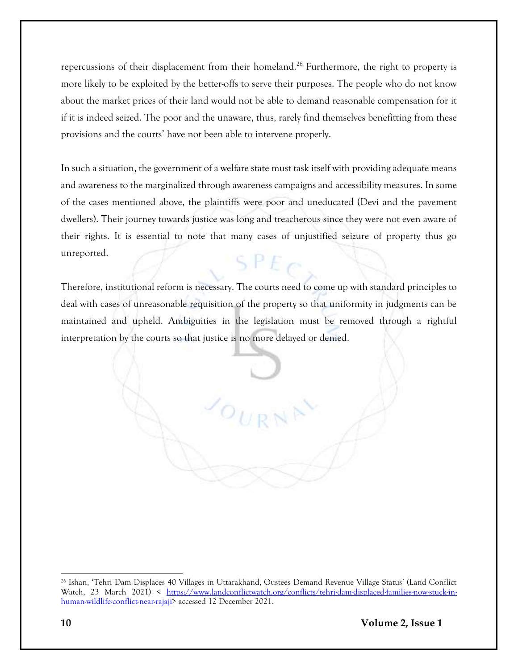repercussions of their displacement from their homeland.<sup>26</sup> Furthermore, the right to property is more likely to be exploited by the better-offs to serve their purposes. The people who do not know about the market prices of their land would not be able to demand reasonable compensation for it if it is indeed seized. The poor and the unaware, thus, rarely find themselves benefitting from these provisions and the courts' have not been able to intervene properly.

In such a situation, the government of a welfare state must task itself with providing adequate means and awareness to the marginalized through awareness campaigns and accessibility measures. In some of the cases mentioned above, the plaintiffs were poor and uneducated (Devi and the pavement dwellers). Their journey towards justice was long and treacherous since they were not even aware of their rights. It is essential to note that many cases of unjustified seizure of property thus go unreported.  $SPE$ 

Therefore, institutional reform is necessary. The courts need to come up with standard principles to deal with cases of unreasonable requisition of the property so that uniformity in judgments can be maintained and upheld. Ambiguities in the legislation must be removed through a rightful interpretation by the courts so that justice is no more delayed or denied.

<sup>26</sup> Ishan, 'Tehri Dam Displaces 40 Villages in Uttarakhand, Oustees Demand Revenue Village Status' (Land Conflict Watch, 23 March 2021) < [https://www.landconflictwatch.org/conflicts/tehri-dam-displaced-families-now-stuck-in](https://www.landconflictwatch.org/conflicts/tehri-dam-displaced-families-now-stuck-in-human-wildlife-conflict-near-rajaji)[human-wildlife-conflict-near-rajaji>](https://www.landconflictwatch.org/conflicts/tehri-dam-displaced-families-now-stuck-in-human-wildlife-conflict-near-rajaji) accessed 12 December 2021.